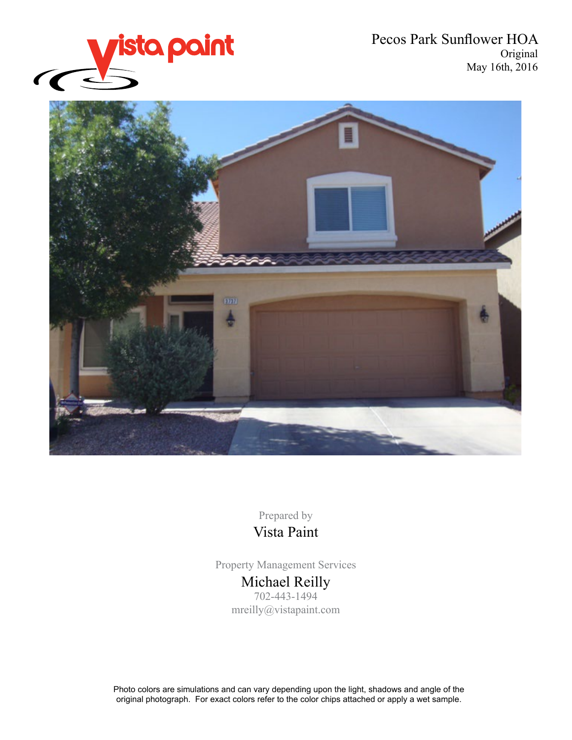

Pecos Park Sunflower HOA Original May 16th, 2016



Prepared by Vista Paint

Property Management Services Michael Reilly 702-443-1494 mreilly@vistapaint.com

Photo colors are simulations and can vary depending upon the light, shadows and angle of the original photograph. For exact colors refer to the color chips attached or apply a wet sample.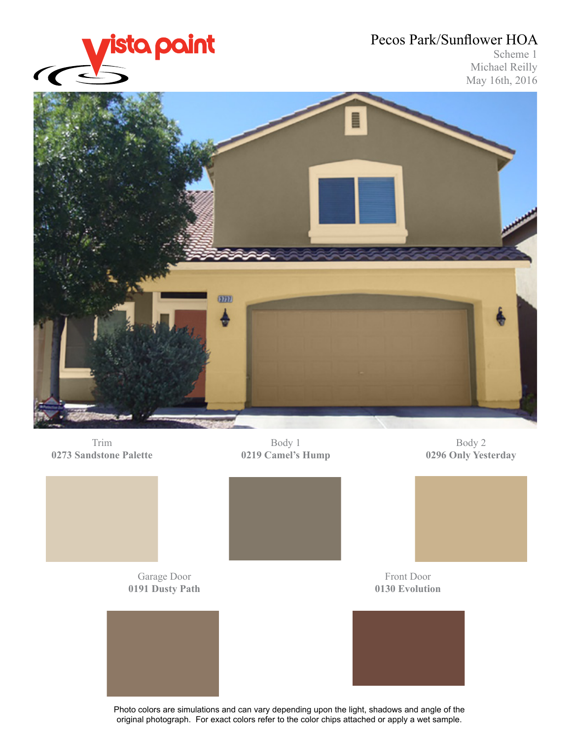

Scheme 1 Michael Reilly May 16th, 2016



Trim **0273 Sandstone Palette**

Body 1 **0219 Camel's Hump**

Body 2 **0296 Only Yesterday**

Garage Door **0191 Dusty Path**



Front Door **0130 Evolution**



Photo colors are simulations and can vary depending upon the light, shadows and angle of the original photograph. For exact colors refer to the color chips attached or apply a wet sample.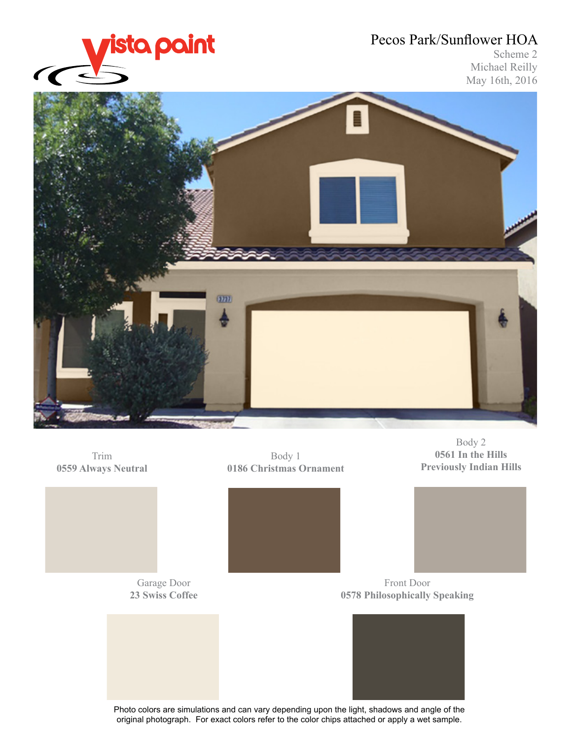

### Scheme 2 Michael Reilly May 16th, 2016







Garage Door **23 Swiss Coffee**

Body 1 **0186 Christmas Ornament**





Body 2

Front Door **0578 Philosophically Speaking**



Photo colors are simulations and can vary depending upon the light, shadows and angle of the original photograph. For exact colors refer to the color chips attached or apply a wet sample.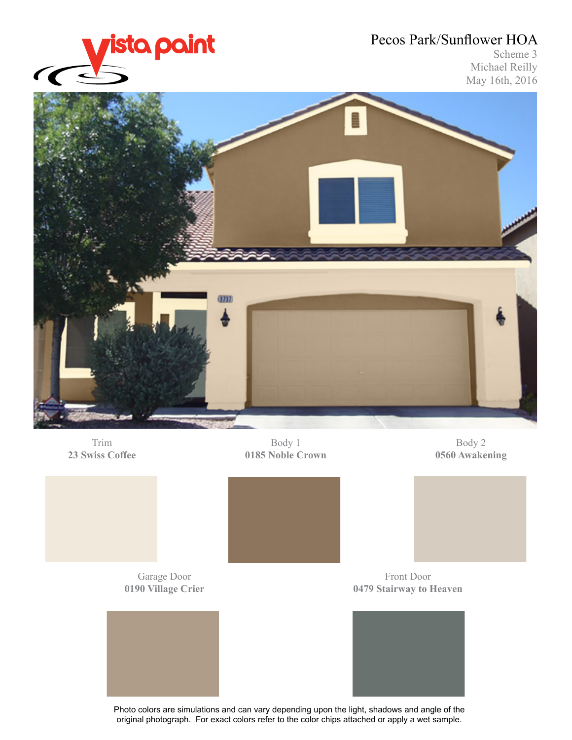

### Scheme 3 Michael Reilly May 16th, 2016



Trim **23 Swiss Coffee**

Body 1 **0185 Noble Crown**

Body 2 **0560 Awakening**

Garage Door **0190 Village Crier**



Front Door **0479 Stairway to Heaven**



Photo colors are simulations and can vary depending upon the light, shadows and angle of the original photograph. For exact colors refer to the color chips attached or apply a wet sample.